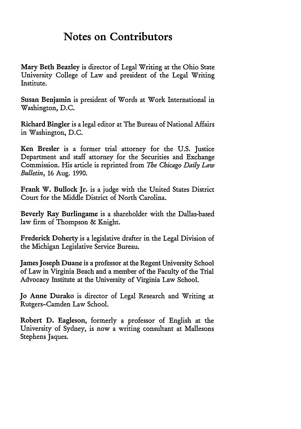## **Notes on Contributors**

Mary Beth Beazley is director of Legal Writing at the Ohio State University College of Law and president of the Legal Writing Institute.

Susan Benjamin is president of Words at Work International in Washington, D.C.

Richard Bingler is a legal editor at The Bureau of National Affairs in Washington, D.C.

Ken Bresler is a former trial attorney for the U.S. Justice Department and staff attorney for the Securities and Exchange Commission. His article is reprinted from *The Chicago Daily Law Bulletin,* 16 Aug. 1990.

Frank W. Bullock Jr. is a judge with the United States District Court for the Middle District of North Carolina.

Beverly Ray Burlingame is a shareholder with the Dallas-based law firm of Thompson & Knight.

Frederick Doherty is a legislative drafter in the Legal Division of the Michigan Legislative Service Bureau.

James Joseph Duane is a professor at the Regent University School of Law in Virginia Beach and a member of the Faculty of the Trial Advocacy Institute at the University of Virginia Law School.

Jo Anne Durako is director of Legal Research and Writing at Rutgers-Camden Law School.

Robert D. Eagleson, formerly a professor of English at the University of Sydney, is now a writing consultant at Mallesons Stephens Jaques.